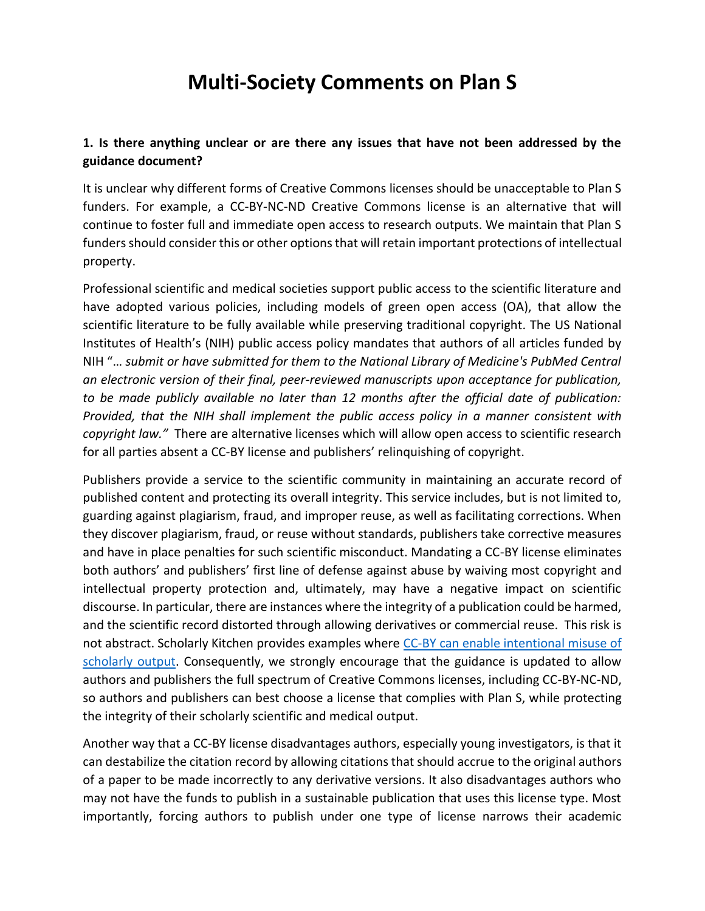# **Multi-Society Comments on Plan S**

## **1. Is there anything unclear or are there any issues that have not been addressed by the guidance document?**

It is unclear why different forms of Creative Commons licenses should be unacceptable to Plan S funders. For example, a CC-BY-NC-ND Creative Commons license is an alternative that will continue to foster full and immediate open access to research outputs. We maintain that Plan S funders should consider this or other options that will retain important protections of intellectual property.

Professional scientific and medical societies support public access to the scientific literature and have adopted various policies, including models of green open access (OA), that allow the scientific literature to be fully available while preserving traditional copyright. The US National Institutes of Health's (NIH) public access policy mandates that authors of all articles funded by NIH "… *submit or have submitted for them to the National Library of Medicine's PubMed Central an electronic version of their final, peer-reviewed manuscripts upon acceptance for publication, to be made publicly available no later than 12 months after the official date of publication: Provided, that the NIH shall implement the public access policy in a manner consistent with copyright law."* There are alternative licenses which will allow open access to scientific research for all parties absent a CC-BY license and publishers' relinquishing of copyright.

Publishers provide a service to the scientific community in maintaining an accurate record of published content and protecting its overall integrity. This service includes, but is not limited to, guarding against plagiarism, fraud, and improper reuse, as well as facilitating corrections. When they discover plagiarism, fraud, or reuse without standards, publishers take corrective measures and have in place penalties for such scientific misconduct. Mandating a CC-BY license eliminates both authors' and publishers' first line of defense against abuse by waiving most copyright and intellectual property protection and, ultimately, may have a negative impact on scientific discourse. In particular, there are instances where the integrity of a publication could be harmed, and the scientific record distorted through allowing derivatives or commercial reuse. This risk is not abstract. Scholarly Kitchen provides examples where [CC-BY can enable intentional misuse of](https://scholarlykitchen.sspnet.org/2014/03/31/cc-by-copyright-and-stolen-advocacy/)  [scholarly output.](https://scholarlykitchen.sspnet.org/2014/03/31/cc-by-copyright-and-stolen-advocacy/) Consequently, we strongly encourage that the guidance is updated to allow authors and publishers the full spectrum of Creative Commons licenses, including CC-BY-NC-ND, so authors and publishers can best choose a license that complies with Plan S, while protecting the integrity of their scholarly scientific and medical output.

Another way that a CC-BY license disadvantages authors, especially young investigators, is that it can destabilize the citation record by allowing citations that should accrue to the original authors of a paper to be made incorrectly to any derivative versions. It also disadvantages authors who may not have the funds to publish in a sustainable publication that uses this license type. Most importantly, forcing authors to publish under one type of license narrows their academic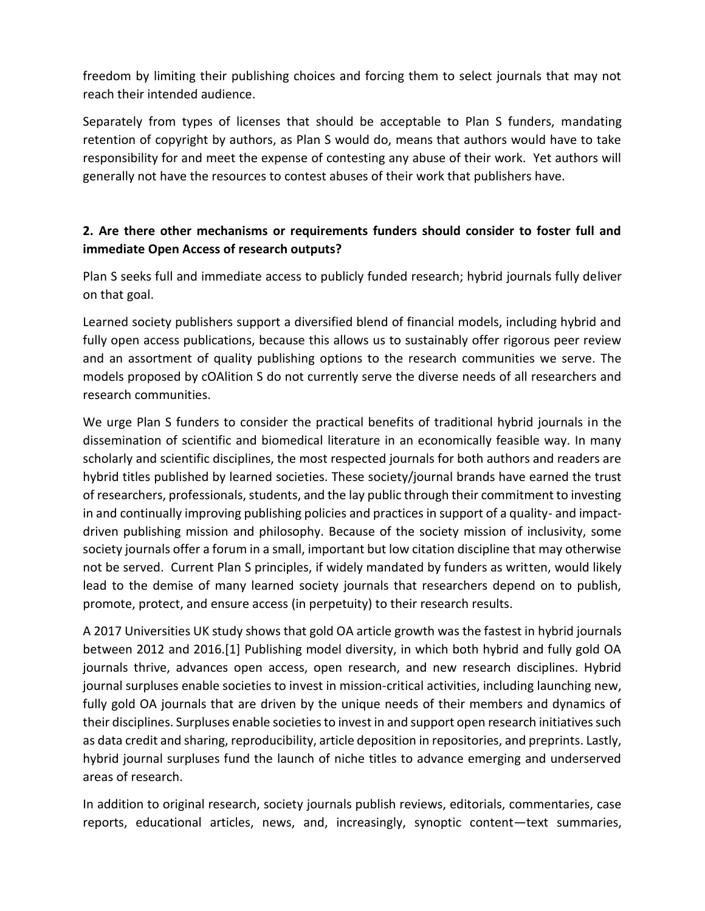freedom by limiting their publishing choices and forcing them to select journals that may not reach their intended audience.

Separately from types of licenses that should be acceptable to Plan S funders, mandating retention of copyright by authors, as Plan S would do, means that authors would have to take responsibility for and meet the expense of contesting any abuse of their work. Yet authors will generally not have the resources to contest abuses of their work that publishers have.

## **2. Are there other mechanisms or requirements funders should consider to foster full and immediate Open Access of research outputs?**

Plan S seeks full and immediate access to publicly funded research; hybrid journals fully deliver on that goal.

Learned society publishers support a diversified blend of financial models, including hybrid and fully open access publications, because this allows us to sustainably offer rigorous peer review and an assortment of quality publishing options to the research communities we serve. The models proposed by cOAlition S do not currently serve the diverse needs of all researchers and research communities.

We urge Plan S funders to consider the practical benefits of traditional hybrid journals in the dissemination of scientific and biomedical literature in an economically feasible way. In many scholarly and scientific disciplines, the most respected journals for both authors and readers are hybrid titles published by learned societies. These society/journal brands have earned the trust of researchers, professionals, students, and the lay public through their commitment to investing in and continually improving publishing policies and practices in support of a quality- and impactdriven publishing mission and philosophy. Because of the society mission of inclusivity, some society journals offer a forum in a small, important but low citation discipline that may otherwise not be served. Current Plan S principles, if widely mandated by funders as written, would likely lead to the demise of many learned society journals that researchers depend on to publish, promote, protect, and ensure access (in perpetuity) to their research results.

A 2017 Universities UK study shows that gold OA article growth was the fastest in hybrid journals between 2012 and 2016.[1] Publishing model diversity, in which both hybrid and fully gold OA journals thrive, advances open access, open research, and new research disciplines. Hybrid journal surpluses enable societies to invest in mission-critical activities, including launching new, fully gold OA journals that are driven by the unique needs of their members and dynamics of their disciplines. Surpluses enable societies to invest in and support open research initiatives such as data credit and sharing, reproducibility, article deposition in repositories, and preprints. Lastly, hybrid journal surpluses fund the launch of niche titles to advance emerging and underserved areas of research.

In addition to original research, society journals publish reviews, editorials, commentaries, case reports, educational articles, news, and, increasingly, synoptic content—text summaries,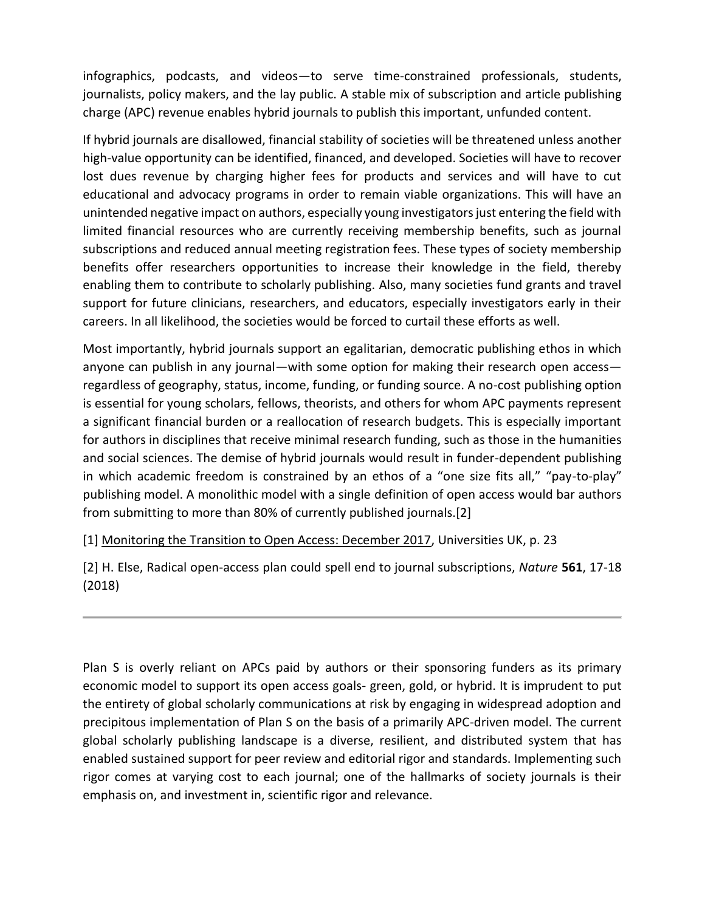infographics, podcasts, and videos—to serve time-constrained professionals, students, journalists, policy makers, and the lay public. A stable mix of subscription and article publishing charge (APC) revenue enables hybrid journals to publish this important, unfunded content.

If hybrid journals are disallowed, financial stability of societies will be threatened unless another high-value opportunity can be identified, financed, and developed. Societies will have to recover lost dues revenue by charging higher fees for products and services and will have to cut educational and advocacy programs in order to remain viable organizations. This will have an unintended negative impact on authors, especially young investigators just entering the field with limited financial resources who are currently receiving membership benefits, such as journal subscriptions and reduced annual meeting registration fees. These types of society membership benefits offer researchers opportunities to increase their knowledge in the field, thereby enabling them to contribute to scholarly publishing. Also, many societies fund grants and travel support for future clinicians, researchers, and educators, especially investigators early in their careers. In all likelihood, the societies would be forced to curtail these efforts as well.

Most importantly, hybrid journals support an egalitarian, democratic publishing ethos in which anyone can publish in any journal—with some option for making their research open access regardless of geography, status, income, funding, or funding source. A no-cost publishing option is essential for young scholars, fellows, theorists, and others for whom APC payments represent a significant financial burden or a reallocation of research budgets. This is especially important for authors in disciplines that receive minimal research funding, such as those in the humanities and social sciences. The demise of hybrid journals would result in funder-dependent publishing in which academic freedom is constrained by an ethos of a "one size fits all," "pay-to-play" publishing model. A monolithic model with a single definition of open access would bar authors from submitting to more than 80% of currently published journals.[2]

[1[\]](https://www.universitiesuk.ac.uk/policy-and-analysis/reports/Documents/2017/monitoring-transition-open-access-2017.pdf) [Monitoring the Transition to Open Access: December 2017,](https://www.universitiesuk.ac.uk/policy-and-analysis/reports/Documents/2017/monitoring-transition-open-access-2017.pdf) Universities UK, p. 23

[2] H. Else, Radical open-access plan could spell end to journal subscriptions, *Nature* **561**, 17-18 (2018)

Plan S is overly reliant on APCs paid by authors or their sponsoring funders as its primary economic model to support its open access goals- green, gold, or hybrid. It is imprudent to put the entirety of global scholarly communications at risk by engaging in widespread adoption and precipitous implementation of Plan S on the basis of a primarily APC-driven model. The current global scholarly publishing landscape is a diverse, resilient, and distributed system that has enabled sustained support for peer review and editorial rigor and standards. Implementing such rigor comes at varying cost to each journal; one of the hallmarks of society journals is their emphasis on, and investment in, scientific rigor and relevance.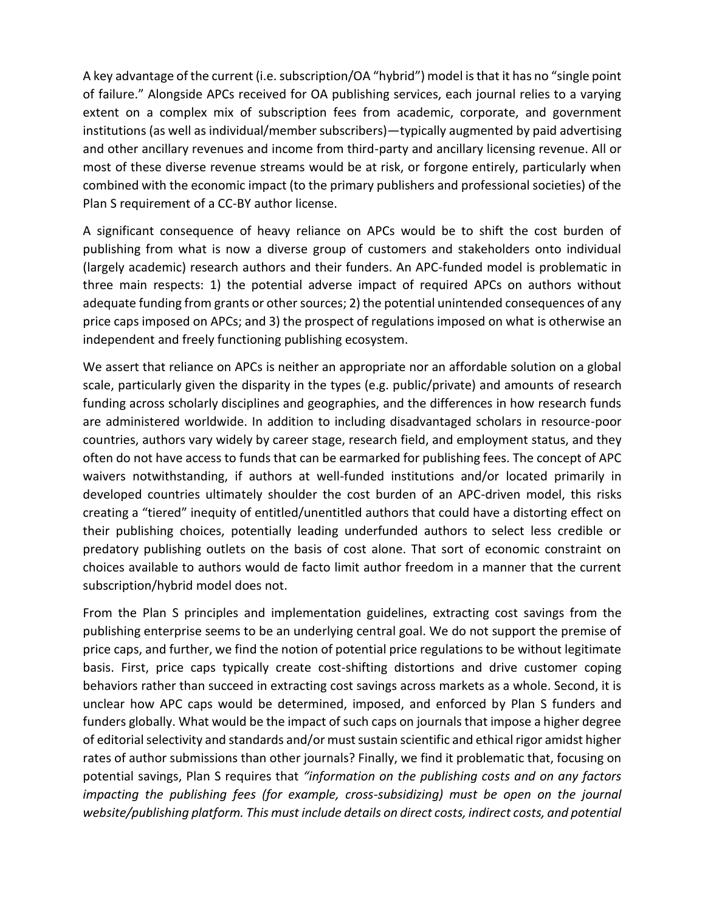A key advantage of the current (i.e. subscription/OA "hybrid") model is that it has no "single point of failure." Alongside APCs received for OA publishing services, each journal relies to a varying extent on a complex mix of subscription fees from academic, corporate, and government institutions (as well as individual/member subscribers)—typically augmented by paid advertising and other ancillary revenues and income from third-party and ancillary licensing revenue. All or most of these diverse revenue streams would be at risk, or forgone entirely, particularly when combined with the economic impact (to the primary publishers and professional societies) of the Plan S requirement of a CC-BY author license.

A significant consequence of heavy reliance on APCs would be to shift the cost burden of publishing from what is now a diverse group of customers and stakeholders onto individual (largely academic) research authors and their funders. An APC-funded model is problematic in three main respects: 1) the potential adverse impact of required APCs on authors without adequate funding from grants or other sources; 2) the potential unintended consequences of any price caps imposed on APCs; and 3) the prospect of regulations imposed on what is otherwise an independent and freely functioning publishing ecosystem.

We assert that reliance on APCs is neither an appropriate nor an affordable solution on a global scale, particularly given the disparity in the types (e.g. public/private) and amounts of research funding across scholarly disciplines and geographies, and the differences in how research funds are administered worldwide. In addition to including disadvantaged scholars in resource-poor countries, authors vary widely by career stage, research field, and employment status, and they often do not have access to funds that can be earmarked for publishing fees. The concept of APC waivers notwithstanding, if authors at well-funded institutions and/or located primarily in developed countries ultimately shoulder the cost burden of an APC-driven model, this risks creating a "tiered" inequity of entitled/unentitled authors that could have a distorting effect on their publishing choices, potentially leading underfunded authors to select less credible or predatory publishing outlets on the basis of cost alone. That sort of economic constraint on choices available to authors would de facto limit author freedom in a manner that the current subscription/hybrid model does not.

From the Plan S principles and implementation guidelines, extracting cost savings from the publishing enterprise seems to be an underlying central goal. We do not support the premise of price caps, and further, we find the notion of potential price regulations to be without legitimate basis. First, price caps typically create cost-shifting distortions and drive customer coping behaviors rather than succeed in extracting cost savings across markets as a whole. Second, it is unclear how APC caps would be determined, imposed, and enforced by Plan S funders and funders globally. What would be the impact of such caps on journals that impose a higher degree of editorial selectivity and standards and/or must sustain scientific and ethical rigor amidst higher rates of author submissions than other journals? Finally, we find it problematic that, focusing on potential savings, Plan S requires that *"information on the publishing costs and on any factors impacting the publishing fees (for example, cross-subsidizing) must be open on the journal website/publishing platform. This must include details on direct costs, indirect costs, and potential*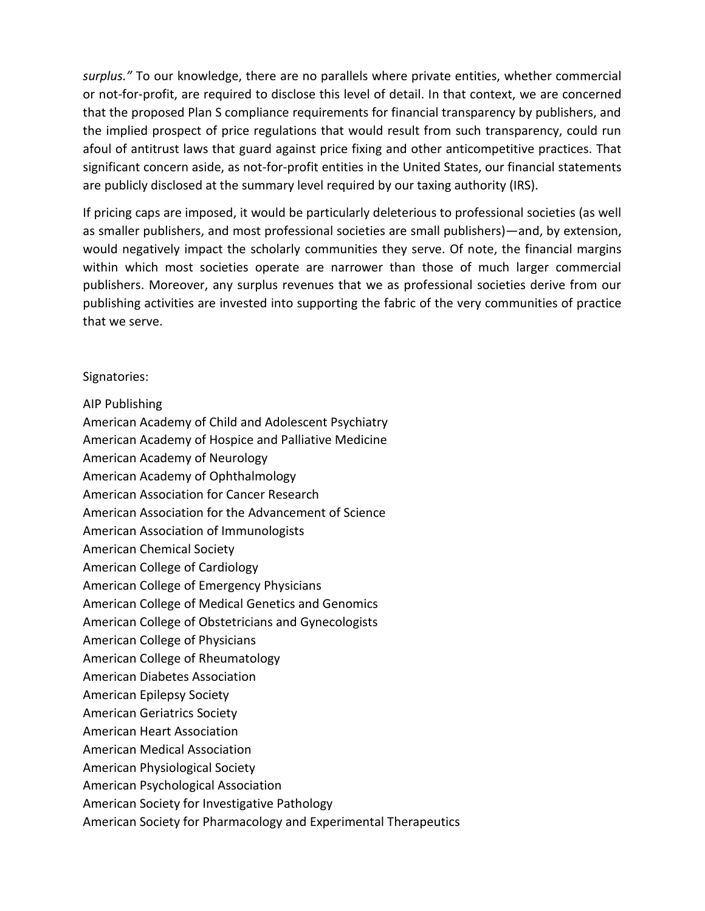*surplus."* To our knowledge, there are no parallels where private entities, whether commercial or not-for-profit, are required to disclose this level of detail. In that context, we are concerned that the proposed Plan S compliance requirements for financial transparency by publishers, and the implied prospect of price regulations that would result from such transparency, could run afoul of antitrust laws that guard against price fixing and other anticompetitive practices. That significant concern aside, as not-for-profit entities in the United States, our financial statements are publicly disclosed at the summary level required by our taxing authority (IRS).

If pricing caps are imposed, it would be particularly deleterious to professional societies (as well as smaller publishers, and most professional societies are small publishers)—and, by extension, would negatively impact the scholarly communities they serve. Of note, the financial margins within which most societies operate are narrower than those of much larger commercial publishers. Moreover, any surplus revenues that we as professional societies derive from our publishing activities are invested into supporting the fabric of the very communities of practice that we serve.

### Signatories:

### AIP Publishing

- American Academy of Child and Adolescent Psychiatry
- American Academy of Hospice and Palliative Medicine
- American Academy of Neurology
- American Academy of Ophthalmology
- American Association for Cancer Research
- American Association for the Advancement of Science
- American Association of Immunologists
- American Chemical Society
- American College of Cardiology
- American College of Emergency Physicians
- American College of Medical Genetics and Genomics
- American College of Obstetricians and Gynecologists
- American College of Physicians
- American College of Rheumatology
- American Diabetes Association
- American Epilepsy Society
- American Geriatrics Society
- American Heart Association
- American Medical Association
- American Physiological Society
- American Psychological Association
- American Society for Investigative Pathology
- American Society for Pharmacology and Experimental Therapeutics